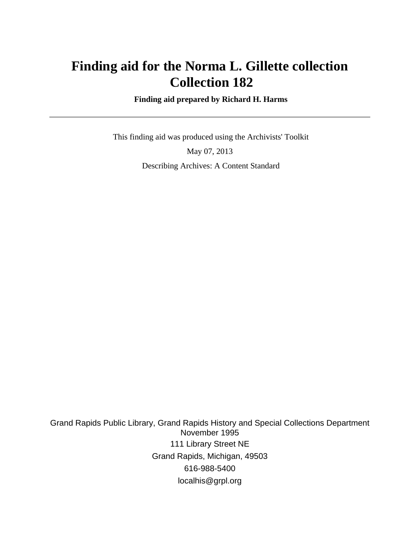# **Finding aid for the Norma L. Gillette collection Collection 182**

 **Finding aid prepared by Richard H. Harms**

 This finding aid was produced using the Archivists' Toolkit May 07, 2013 Describing Archives: A Content Standard

Grand Rapids Public Library, Grand Rapids History and Special Collections Department November 1995 111 Library Street NE Grand Rapids, Michigan, 49503 616-988-5400 localhis@grpl.org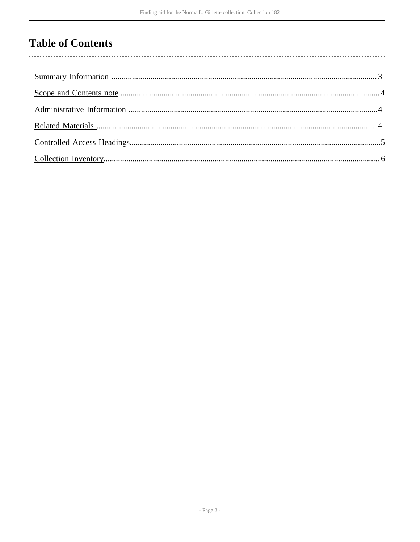# **Table of Contents**

 $\overline{\phantom{a}}$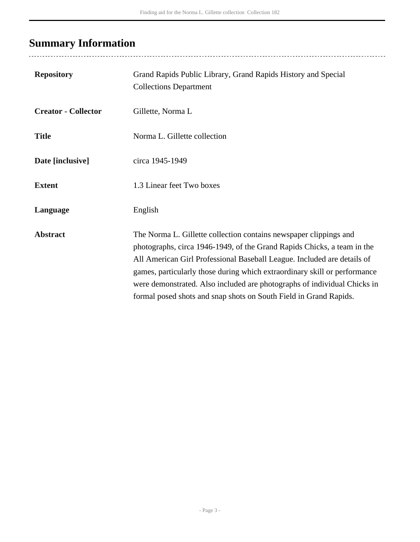# <span id="page-2-0"></span>**Summary Information**

| <b>Repository</b>          | Grand Rapids Public Library, Grand Rapids History and Special<br><b>Collections Department</b>                                                                                                                                                                                                                                                                                                                                                        |
|----------------------------|-------------------------------------------------------------------------------------------------------------------------------------------------------------------------------------------------------------------------------------------------------------------------------------------------------------------------------------------------------------------------------------------------------------------------------------------------------|
| <b>Creator - Collector</b> | Gillette, Norma L                                                                                                                                                                                                                                                                                                                                                                                                                                     |
| <b>Title</b>               | Norma L. Gillette collection                                                                                                                                                                                                                                                                                                                                                                                                                          |
| Date [inclusive]           | circa 1945-1949                                                                                                                                                                                                                                                                                                                                                                                                                                       |
| <b>Extent</b>              | 1.3 Linear feet Two boxes                                                                                                                                                                                                                                                                                                                                                                                                                             |
| Language                   | English                                                                                                                                                                                                                                                                                                                                                                                                                                               |
| <b>Abstract</b>            | The Norma L. Gillette collection contains newspaper clippings and<br>photographs, circa 1946-1949, of the Grand Rapids Chicks, a team in the<br>All American Girl Professional Baseball League. Included are details of<br>games, particularly those during which extraordinary skill or performance<br>were demonstrated. Also included are photographs of individual Chicks in<br>formal posed shots and snap shots on South Field in Grand Rapids. |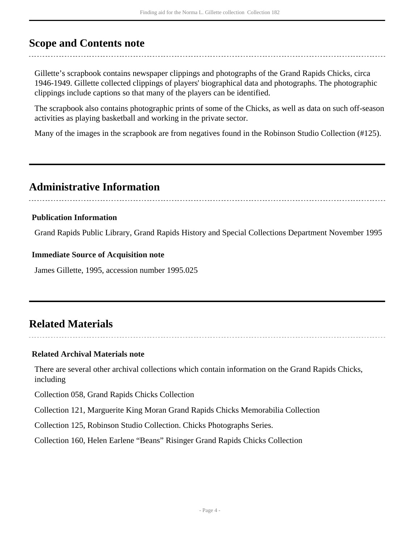## <span id="page-3-0"></span>**Scope and Contents note**

Gillette's scrapbook contains newspaper clippings and photographs of the Grand Rapids Chicks, circa 1946-1949. Gillette collected clippings of players' biographical data and photographs. The photographic clippings include captions so that many of the players can be identified.

The scrapbook also contains photographic prints of some of the Chicks, as well as data on such off-season activities as playing basketball and working in the private sector.

Many of the images in the scrapbook are from negatives found in the Robinson Studio Collection (#125).

## <span id="page-3-1"></span>**Administrative Information**

### **Publication Information**

Grand Rapids Public Library, Grand Rapids History and Special Collections Department November 1995

#### **Immediate Source of Acquisition note**

James Gillette, 1995, accession number 1995.025

# <span id="page-3-2"></span>**Related Materials**

## **Related Archival Materials note**

There are several other archival collections which contain information on the Grand Rapids Chicks, including

Collection 058, Grand Rapids Chicks Collection

Collection 121, Marguerite King Moran Grand Rapids Chicks Memorabilia Collection

Collection 125, Robinson Studio Collection. Chicks Photographs Series.

Collection 160, Helen Earlene "Beans" Risinger Grand Rapids Chicks Collection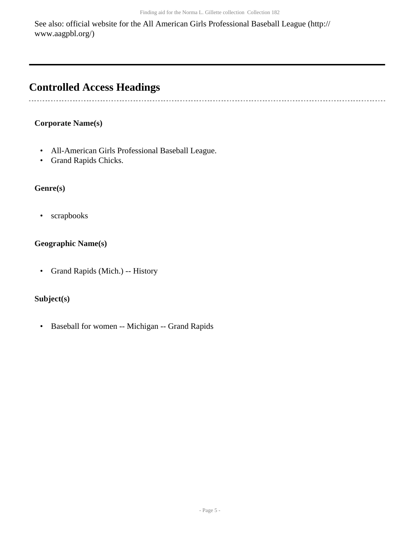See also: official website for the All American Girls Professional Baseball League (http:// www.aagpbl.org/)

# <span id="page-4-0"></span>**Controlled Access Headings**

## **Corporate Name(s)**

- All-American Girls Professional Baseball League.
- Grand Rapids Chicks.

## **Genre(s)**

• scrapbooks

## **Geographic Name(s)**

• Grand Rapids (Mich.) -- History

## **Subject(s)**

• Baseball for women -- Michigan -- Grand Rapids